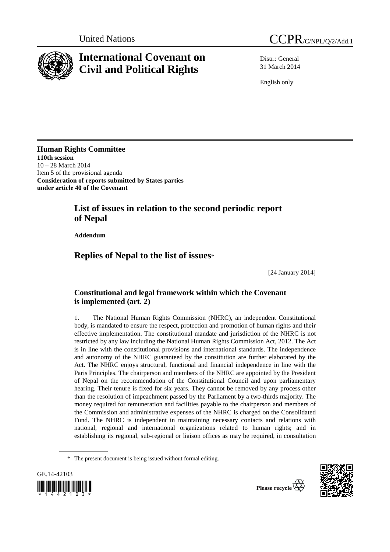

# **International Covenant on Civil and Political Rights**

Distr.: General 31 March 2014

English only

**Human Rights Committee 110th session**  10 – 28 March 2014 Item 5 of the provisional agenda **Consideration of reports submitted by States parties under article 40 of the Covenant**

## **List of issues in relation to the second periodic report of Nepal**

 **Addendum** 

## **Replies of Nepal to the list of issues**\*

[24 January 2014]

## **Constitutional and legal framework within which the Covenant is implemented (art. 2)**

1. The National Human Rights Commission (NHRC), an independent Constitutional body, is mandated to ensure the respect, protection and promotion of human rights and their effective implementation. The constitutional mandate and jurisdiction of the NHRC is not restricted by any law including the National Human Rights Commission Act, 2012. The Act is in line with the constitutional provisions and international standards. The independence and autonomy of the NHRC guaranteed by the constitution are further elaborated by the Act. The NHRC enjoys structural, functional and financial independence in line with the Paris Principles. The chairperson and members of the NHRC are appointed by the President of Nepal on the recommendation of the Constitutional Council and upon parliamentary hearing. Their tenure is fixed for six years. They cannot be removed by any process other than the resolution of impeachment passed by the Parliament by a two-thirds majority. The money required for remuneration and facilities payable to the chairperson and members of the Commission and administrative expenses of the NHRC is charged on the Consolidated Fund. The NHRC is independent in maintaining necessary contacts and relations with national, regional and international organizations related to human rights; and in establishing its regional, sub-regional or liaison offices as may be required, in consultation

<sup>\*</sup> The present document is being issued without formal editing.



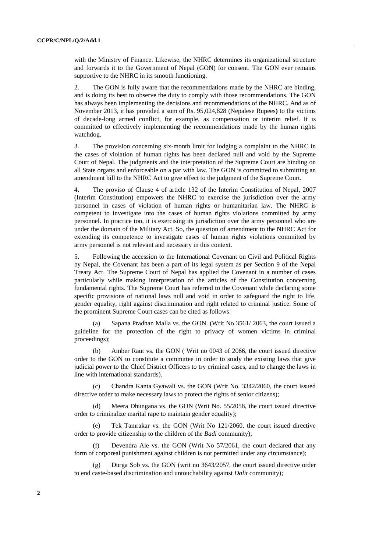with the Ministry of Finance. Likewise, the NHRC determines its organizational structure and forwards it to the Government of Nepal (GON) for consent. The GON ever remains supportive to the NHRC in its smooth functioning.

2. The GON is fully aware that the recommendations made by the NHRC are binding, and is doing its best to observe the duty to comply with those recommendations. The GON has always been implementing the decisions and recommendations of the NHRC. And as of November 2013, it has provided a sum of Rs. 95,024,828 (Nepalese Rupees**)** to the victims of decade-long armed conflict, for example, as compensation or interim relief. It is committed to effectively implementing the recommendations made by the human rights watchdog.

3. The provision concerning six-month limit for lodging a complaint to the NHRC in the cases of violation of human rights has been declared null and void by the Supreme Court of Nepal. The judgments and the interpretation of the Supreme Court are binding on all State organs and enforceable on a par with law. The GON is committed to submitting an amendment bill to the NHRC Act to give effect to the judgment of the Supreme Court.

4. The proviso of Clause 4 of article 132 of the Interim Constitution of Nepal, 2007 (Interim Constitution) empowers the NHRC to exercise the jurisdiction over the army personnel in cases of violation of human rights or humanitarian law. The NHRC is competent to investigate into the cases of human rights violations committed by army personnel. In practice too, it is exercising its jurisdiction over the army personnel who are under the domain of the Military Act. So, the question of amendment to the NHRC Act for extending its competence to investigate cases of human rights violations committed by army personnel is not relevant and necessary in this context.

5. Following the accession to the International Covenant on Civil and Political Rights by Nepal, the Covenant has been a part of its legal system as per Section 9 of the Nepal Treaty Act. The Supreme Court of Nepal has applied the Covenant in a number of cases particularly while making interpretation of the articles of the Constitution concerning fundamental rights. The Supreme Court has referred to the Covenant while declaring some specific provisions of national laws null and void in order to safeguard the right to life, gender equality, right against discrimination and right related to criminal justice. Some of the prominent Supreme Court cases can be cited as follows:

 (a) Sapana Pradhan Malla vs. the GON. (Writ No 3561/ 2063, the court issued a guideline for the protection of the right to privacy of women victims in criminal proceedings);

 (b) Amber Raut vs. the GON ( Writ no 0043 of 2066, the court issued directive order to the GON to constitute a committee in order to study the existing laws that give judicial power to the Chief District Officers to try criminal cases, and to change the laws in line with international standards).

 (c) Chandra Kanta Gyawali vs. the GON (Writ No. 3342/2060, the court issued directive order to make necessary laws to protect the rights of senior citizens);

Meera Dhungana vs. the GON (Writ No. 55/2058, the court issued directive order to criminalize marital rape to maintain gender equality);

 (e) Tek Tamrakar vs. the GON (Writ No 121/2060, the court issued directive order to provide citizenship to the children of the *Badi* community);

 (f) Devendra Ale vs. the GON (Writ No 57/2061, the court declared that any form of corporeal punishment against children is not permitted under any circumstance);

Durga Sob vs. the GON (writ no 3643/2057, the court issued directive order to end caste-based discrimination and untouchability against *Dalit* community);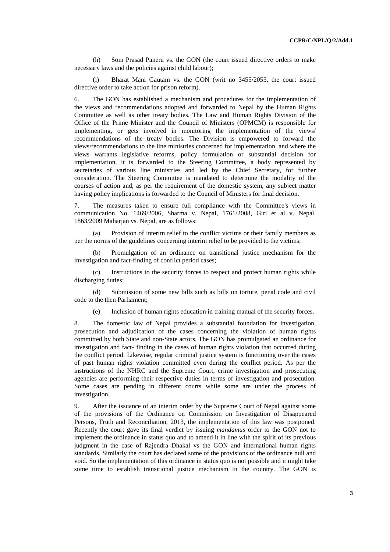(h) Som Prasad Paneru vs. the GON (the court issued directive orders to make necessary laws and the policies against child labour);

 (i) Bharat Mani Gautam vs. the GON (writ no 3455/2055, the court issued directive order to take action for prison reform).

6. The GON has established a mechanism and procedures for the implementation of the views and recommendations adopted and forwarded to Nepal by the Human Rights Committee as well as other treaty bodies. The Law and Human Rights Division of the Office of the Prime Minister and the Council of Ministers (OPMCM) is responsible for implementing, or gets involved in monitoring the implementation of the views/ recommendations of the treaty bodies. The Division is empowered to forward the views/recommendations to the line ministries concerned for implementation, and where the views warrants legislative reforms, policy formulation or substantial decision for implementation, it is forwarded to the Steering Committee, a body represented by secretaries of various line ministries and led by the Chief Secretary, for further consideration. The Steering Committee is mandated to determine the modality of the courses of action and, as per the requirement of the domestic system, any subject matter having policy implications is forwarded to the Council of Ministers for final decision.

7. The measures taken to ensure full compliance with the Committee's views in communication No. 1469/2006, Sharma v. Nepal, 1761/2008, Giri et al v. Nepal, 1863/2009 Maharjan vs. Nepal, are as follows:

 (a) Provision of interim relief to the conflict victims or their family members as per the norms of the guidelines concerning interim relief to be provided to the victims;

 (b) Promulgation of an ordinance on transitional justice mechanism for the investigation and fact-finding of conflict period cases;

 (c) Instructions to the security forces to respect and protect human rights while discharging duties;

 (d) Submission of some new bills such as bills on torture, penal code and civil code to the then Parliament;

(e) Inclusion of human rights education in training manual of the security forces.

8. The domestic law of Nepal provides a substantial foundation for investigation, prosecution and adjudication of the cases concerning the violation of human rights committed by both State and non-State actors. The GON has promulgated an ordinance for investigation and fact- finding in the cases of human rights violation that occurred during the conflict period. Likewise, regular criminal justice system is functioning over the cases of past human rights violation committed even during the conflict period. As per the instructions of the NHRC and the Supreme Court, crime investigation and prosecuting agencies are performing their respective duties in terms of investigation and prosecution. Some cases are pending in different courts while some are under the process of investigation.

9. After the issuance of an interim order by the Supreme Court of Nepal against some of the provisions of the Ordinance on Commission on Investigation of Disappeared Persons, Truth and Reconciliation, 2013, the implementation of this law was postponed. Recently the court gave its final verdict by issuing *mandamus* order to the GON not to implement the ordinance in status quo and to amend it in line with the spirit of its previous judgment in the case of Rajendra Dhakal vs the GON and international human rights standards. Similarly the court has declared some of the provisions of the ordinance null and void. So the implementation of this ordinance in status quo is not possible and it might take some time to establish transitional justice mechanism in the country. The GON is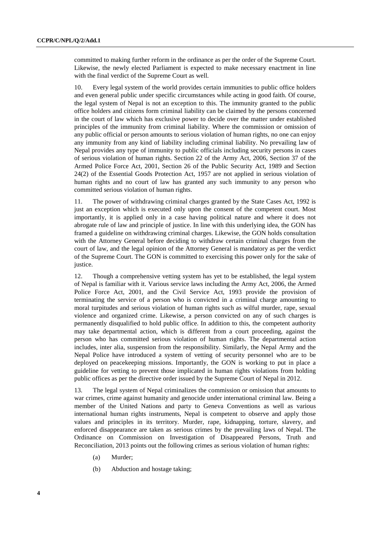committed to making further reform in the ordinance as per the order of the Supreme Court. Likewise, the newly elected Parliament is expected to make necessary enactment in line with the final verdict of the Supreme Court as well.

10. Every legal system of the world provides certain immunities to public office holders and even general public under specific circumstances while acting in good faith. Of course, the legal system of Nepal is not an exception to this. The immunity granted to the public office holders and citizens form criminal liability can be claimed by the persons concerned in the court of law which has exclusive power to decide over the matter under established principles of the immunity from criminal liability. Where the commission or omission of any public official or person amounts to serious violation of human rights, no one can enjoy any immunity from any kind of liability including criminal liability. No prevailing law of Nepal provides any type of immunity to public officials including security persons in cases of serious violation of human rights. Section 22 of the Army Act, 2006, Section 37 of the Armed Police Force Act, 2001, Section 26 of the Public Security Act, 1989 and Section 24(2) of the Essential Goods Protection Act, 1957 are not applied in serious violation of human rights and no court of law has granted any such immunity to any person who committed serious violation of human rights.

11. The power of withdrawing criminal charges granted by the State Cases Act, 1992 is just an exception which is executed only upon the consent of the competent court. Most importantly, it is applied only in a case having political nature and where it does not abrogate rule of law and principle of justice. In line with this underlying idea, the GON has framed a guideline on withdrawing criminal charges. Likewise, the GON holds consultation with the Attorney General before deciding to withdraw certain criminal charges from the court of law, and the legal opinion of the Attorney General is mandatory as per the verdict of the Supreme Court. The GON is committed to exercising this power only for the sake of justice.

12. Though a comprehensive vetting system has yet to be established, the legal system of Nepal is familiar with it. Various service laws including the Army Act, 2006, the Armed Police Force Act, 2001, and the Civil Service Act, 1993 provide the provision of terminating the service of a person who is convicted in a criminal charge amounting to moral turpitudes and serious violation of human rights such as wilful murder, rape, sexual violence and organized crime. Likewise, a person convicted on any of such charges is permanently disqualified to hold public office. In addition to this, the competent authority may take departmental action, which is different from a court proceeding, against the person who has committed serious violation of human rights. The departmental action includes, inter alia, suspension from the responsibility. Similarly, the Nepal Army and the Nepal Police have introduced a system of vetting of security personnel who are to be deployed on peacekeeping missions. Importantly, the GON is working to put in place a guideline for vetting to prevent those implicated in human rights violations from holding public offices as per the directive order issued by the Supreme Court of Nepal in 2012.

13. The legal system of Nepal criminalizes the commission or omission that amounts to war crimes, crime against humanity and genocide under international criminal law. Being a member of the United Nations and party to Geneva Conventions as well as various international human rights instruments, Nepal is competent to observe and apply those values and principles in its territory. Murder, rape, kidnapping, torture, slavery, and enforced disappearance are taken as serious crimes by the prevailing laws of Nepal. The Ordinance on Commission on Investigation of Disappeared Persons, Truth and Reconciliation, 2013 points out the following crimes as serious violation of human rights:

- (a) Murder;
- (b) Abduction and hostage taking;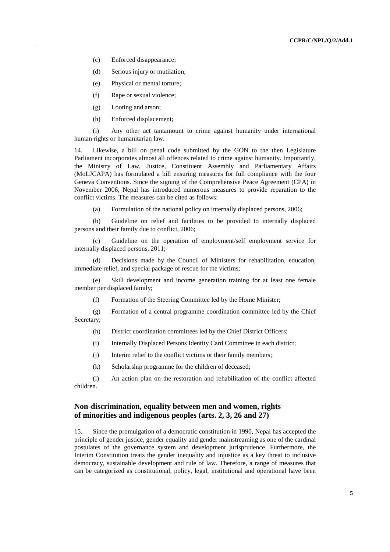- (c) Enforced disappearance;
- (d) Serious injury or mutilation;
- (e) Physical or mental torture;
- (f) Rape or sexual violence;
- (g) Looting and arson;
- (h) Enforced displacement;

 (i) Any other act tantamount to crime against humanity under international human rights or humanitarian law.

14. Likewise, a bill on penal code submitted by the GON to the then Legislature Parliament incorporates almost all offences related to crime against humanity. Importantly, the Ministry of Law, Justice, Constituent Assembly and Parliamentary Affairs (MoLJCAPA) has formulated a bill ensuring measures for full compliance with the four Geneva Conventions. Since the signing of the Comprehensive Peace Agreement (CPA) in November 2006, Nepal has introduced numerous measures to provide reparation to the conflict victims. The measures can be cited as follows:

(a) Formulation of the national policy on internally displaced persons, 2006;

 (b) Guideline on relief and facilities to be provided to internally displaced persons and their family due to conflict, 2006;

 (c) Guideline on the operation of employment/self employment service for internally displaced persons, 2011;

 (d) Decisions made by the Council of Ministers for rehabilitation, education, immediate relief, and special package of rescue for the victims;

 (e) Skill development and income generation training for at least one female member per displaced family;

(f) Formation of the Steering Committee led by the Home Minister;

 (g) Formation of a central programme coordination committee led by the Chief Secretary;

(h) District coordination committees led by the Chief District Officers;

- (i) Internally Displaced Persons Identity Card Committee in each district;
- (j) Interim relief to the conflict victims or their family members;
- (k) Scholarship programme for the children of deceased;

 (l) An action plan on the restoration and rehabilitation of the conflict affected children.

## **Non-discrimination, equality between men and women, rights of minorities and indigenous peoples (arts. 2, 3, 26 and 27)**

15. Since the promulgation of a democratic constitution in 1990, Nepal has accepted the principle of gender justice, gender equality and gender mainstreaming as one of the cardinal postulates of the governance system and development jurisprudence. Furthermore, the Interim Constitution treats the gender inequality and injustice as a key threat to inclusive democracy, sustainable development and rule of law. Therefore, a range of measures that can be categorized as constitutional, policy, legal, institutional and operational have been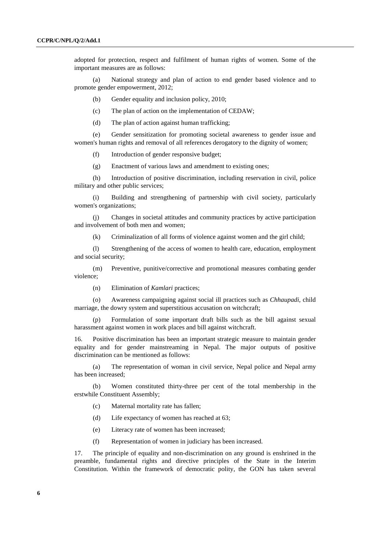adopted for protection, respect and fulfilment of human rights of women. Some of the important measures are as follows:

 (a) National strategy and plan of action to end gender based violence and to promote gender empowerment, 2012;

(b) Gender equality and inclusion policy, 2010;

(c) The plan of action on the implementation of CEDAW;

(d) The plan of action against human trafficking;

 (e) Gender sensitization for promoting societal awareness to gender issue and women's human rights and removal of all references derogatory to the dignity of women;

(f) Introduction of gender responsive budget;

(g) Enactment of various laws and amendment to existing ones;

 (h) Introduction of positive discrimination, including reservation in civil, police military and other public services;

 (i) Building and strengthening of partnership with civil society, particularly women's organizations;

 (j) Changes in societal attitudes and community practices by active participation and involvement of both men and women;

(k) Criminalization of all forms of violence against women and the girl child;

 (l) Strengthening of the access of women to health care, education, employment and social security;

 (m) Preventive, punitive/corrective and promotional measures combating gender violence;

(n) Elimination of *Kamlari* practices;

 (o) Awareness campaigning against social ill practices such as *Chhaupadi*, child marriage, the dowry system and superstitious accusation on witchcraft;

 (p) Formulation of some important draft bills such as the bill against sexual harassment against women in work places and bill against witchcraft.

16. Positive discrimination has been an important strategic measure to maintain gender equality and for gender mainstreaming in Nepal. The major outputs of positive discrimination can be mentioned as follows:

 (a) The representation of woman in civil service, Nepal police and Nepal army has been increased;

 (b) Women constituted thirty-three per cent of the total membership in the erstwhile Constituent Assembly;

(c) Maternal mortality rate has fallen;

(d) Life expectancy of women has reached at 63;

(e) Literacy rate of women has been increased;

(f) Representation of women in judiciary has been increased.

17. The principle of equality and non-discrimination on any ground is enshrined in the preamble, fundamental rights and directive principles of the State in the Interim Constitution. Within the framework of democratic polity, the GON has taken several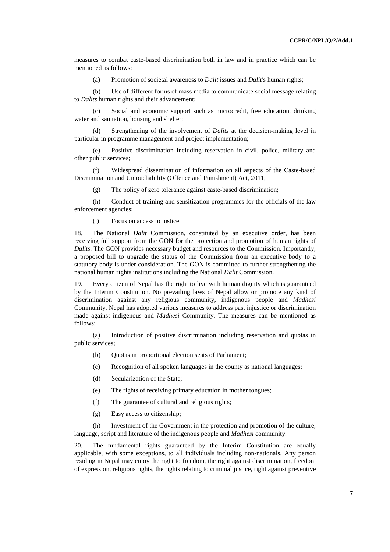measures to combat caste-based discrimination both in law and in practice which can be mentioned as follows:

(a) Promotion of societal awareness to *Dalit* issues and *Dalit'*s human rights;

 (b) Use of different forms of mass media to communicate social message relating to *Dalits* human rights and their advancement;

 (c) Social and economic support such as microcredit, free education, drinking water and sanitation, housing and shelter;

Strengthening of the involvement of *Dalits* at the decision-making level in particular in programme management and project implementation;

 (e) Positive discrimination including reservation in civil, police, military and other public services;

 (f) Widespread dissemination of information on all aspects of the Caste-based Discrimination and Untouchability (Offence and Punishment) Act, 2011;

(g) The policy of zero tolerance against caste-based discrimination;

 (h) Conduct of training and sensitization programmes for the officials of the law enforcement agencies;

(i) Focus on access to justice.

18. The National *Dalit* Commission, constituted by an executive order, has been receiving full support from the GON for the protection and promotion of human rights of *Dalits*. The GON provides necessary budget and resources to the Commission. Importantly, a proposed bill to upgrade the status of the Commission from an executive body to a statutory body is under consideration. The GON is committed to further strengthening the national human rights institutions including the National *Dalit* Commission.

19. Every citizen of Nepal has the right to live with human dignity which is guaranteed by the Interim Constitution. No prevailing laws of Nepal allow or promote any kind of discrimination against any religious community, indigenous people and *Madhesi* Community. Nepal has adopted various measures to address past injustice or discrimination made against indigenous and *Madhesi* Community. The measures can be mentioned as follows:

 (a) Introduction of positive discrimination including reservation and quotas in public services;

- (b) Quotas in proportional election seats of Parliament;
- (c) Recognition of all spoken languages in the county as national languages;
- (d) Secularization of the State;
- (e) The rights of receiving primary education in mother tongues;
- (f) The guarantee of cultural and religious rights;
- (g) Easy access to citizenship;

 (h) Investment of the Government in the protection and promotion of the culture, language, script and literature of the indigenous people and *Madhesi* community.

20. The fundamental rights guaranteed by the Interim Constitution are equally applicable, with some exceptions, to all individuals including non-nationals. Any person residing in Nepal may enjoy the right to freedom, the right against discrimination, freedom of expression, religious rights, the rights relating to criminal justice, right against preventive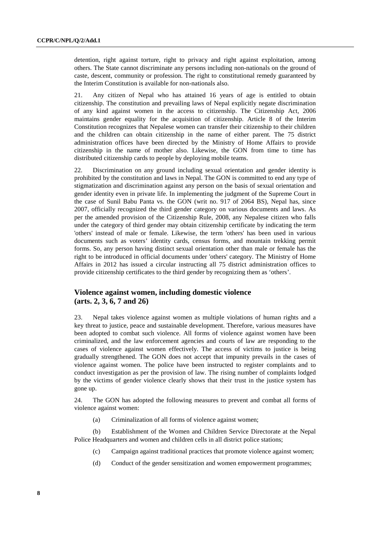detention, right against torture, right to privacy and right against exploitation, among others. The State cannot discriminate any persons including non-nationals on the ground of caste, descent, community or profession. The right to constitutional remedy guaranteed by the Interim Constitution is available for non-nationals also.

21. Any citizen of Nepal who has attained 16 years of age is entitled to obtain citizenship. The constitution and prevailing laws of Nepal explicitly negate discrimination of any kind against women in the access to citizenship. The Citizenship Act, 2006 maintains gender equality for the acquisition of citizenship. Article 8 of the Interim Constitution recognizes that Nepalese women can transfer their citizenship to their children and the children can obtain citizenship in the name of either parent. The 75 district administration offices have been directed by the Ministry of Home Affairs to provide citizenship in the name of mother also. Likewise, the GON from time to time has distributed citizenship cards to people by deploying mobile teams.

22. Discrimination on any ground including sexual orientation and gender identity is prohibited by the constitution and laws in Nepal. The GON is committed to end any type of stigmatization and discrimination against any person on the basis of sexual orientation and gender identity even in private life. In implementing the judgment of the Supreme Court in the case of Sunil Babu Panta vs. the GON (writ no. 917 of 2064 BS), Nepal has, since 2007, officially recognized the third gender category on various documents and laws. As per the amended provision of the Citizenship Rule, 2008, any Nepalese citizen who falls under the category of third gender may obtain citizenship certificate by indicating the term 'others' instead of male or female. Likewise, the term 'others' has been used in various documents such as voters' identity cards, census forms, and mountain trekking permit forms. So, any person having distinct sexual orientation other than male or female has the right to be introduced in official documents under 'others' category. The Ministry of Home Affairs in 2012 has issued a circular instructing all 75 district administration offices to provide citizenship certificates to the third gender by recognizing them as 'others'.

## **Violence against women, including domestic violence (arts. 2, 3, 6, 7 and 26)**

23. Nepal takes violence against women as multiple violations of human rights and a key threat to justice, peace and sustainable development. Therefore, various measures have been adopted to combat such violence. All forms of violence against women have been criminalized, and the law enforcement agencies and courts of law are responding to the cases of violence against women effectively. The access of victims to justice is being gradually strengthened. The GON does not accept that impunity prevails in the cases of violence against women. The police have been instructed to register complaints and to conduct investigation as per the provision of law. The rising number of complaints lodged by the victims of gender violence clearly shows that their trust in the justice system has gone up.

24. The GON has adopted the following measures to prevent and combat all forms of violence against women:

(a) Criminalization of all forms of violence against women;

 (b) Establishment of the Women and Children Service Directorate at the Nepal Police Headquarters and women and children cells in all district police stations;

- (c) Campaign against traditional practices that promote violence against women;
- (d) Conduct of the gender sensitization and women empowerment programmes;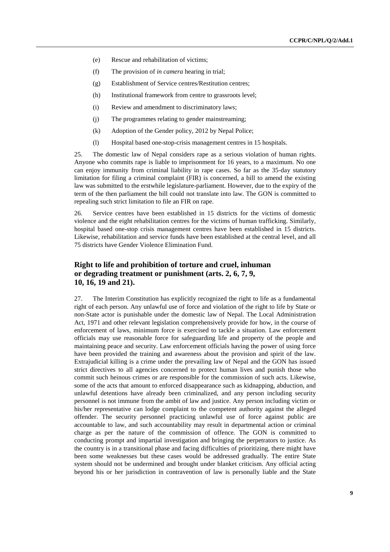- (e) Rescue and rehabilitation of victims;
- (f) The provision of *in camera* hearing in trial;
- (g) Establishment of Service centres/Restitution centres;
- (h) Institutional framework from centre to grassroots level;
- (i) Review and amendment to discriminatory laws;
- (j) The programmes relating to gender mainstreaming;
- (k) Adoption of the Gender policy, 2012 by Nepal Police;
- (l) Hospital based one-stop-crisis management centres in 15 hospitals.

25. The domestic law of Nepal considers rape as a serious violation of human rights. Anyone who commits rape is liable to imprisonment for 16 years, to a maximum. No one can enjoy immunity from criminal liability in rape cases. So far as the 35-day statutory limitation for filing a criminal complaint (FIR) is concerned, a bill to amend the existing law was submitted to the erstwhile legislature-parliament. However, due to the expiry of the term of the then parliament the bill could not translate into law. The GON is committed to repealing such strict limitation to file an FIR on rape.

26. Service centres have been established in 15 districts for the victims of domestic violence and the eight rehabilitation centres for the victims of human trafficking. Similarly, hospital based one-stop crisis management centres have been established in 15 districts. Likewise, rehabilitation and service funds have been established at the central level, and all 75 districts have Gender Violence Elimination Fund.

## **Right to life and prohibition of torture and cruel, inhuman or degrading treatment or punishment (arts. 2, 6, 7, 9, 10, 16, 19 and 21).**

27. The Interim Constitution has explicitly recognized the right to life as a fundamental right of each person. Any unlawful use of force and violation of the right to life by State or non-State actor is punishable under the domestic law of Nepal. The Local Administration Act, 1971 and other relevant legislation comprehensively provide for how, in the course of enforcement of laws, minimum force is exercised to tackle a situation. Law enforcement officials may use reasonable force for safeguarding life and property of the people and maintaining peace and security. Law enforcement officials having the power of using force have been provided the training and awareness about the provision and spirit of the law. Extrajudicial killing is a crime under the prevailing law of Nepal and the GON has issued strict directives to all agencies concerned to protect human lives and punish those who commit such heinous crimes or are responsible for the commission of such acts. Likewise, some of the acts that amount to enforced disappearance such as kidnapping, abduction, and unlawful detentions have already been criminalized, and any person including security personnel is not immune from the ambit of law and justice. Any person including victim or his/her representative can lodge complaint to the competent authority against the alleged offender. The security personnel practicing unlawful use of force against public are accountable to law, and such accountability may result in departmental action or criminal charge as per the nature of the commission of offence. The GON is committed to conducting prompt and impartial investigation and bringing the perpetrators to justice. As the country is in a transitional phase and facing difficulties of prioritizing, there might have been some weaknesses but these cases would be addressed gradually. The entire State system should not be undermined and brought under blanket criticism. Any official acting beyond his or her jurisdiction in contravention of law is personally liable and the State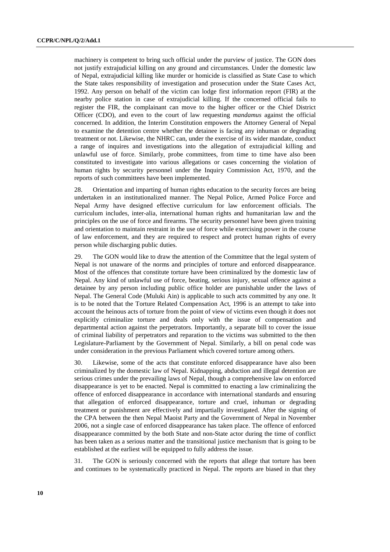machinery is competent to bring such official under the purview of justice. The GON does not justify extrajudicial killing on any ground and circumstances. Under the domestic law of Nepal, extrajudicial killing like murder or homicide is classified as State Case to which the State takes responsibility of investigation and prosecution under the State Cases Act, 1992. Any person on behalf of the victim can lodge first information report (FIR) at the nearby police station in case of extrajudicial killing. If the concerned official fails to register the FIR, the complainant can move to the higher officer or the Chief District Officer (CDO), and even to the court of law requesting *mandamus* against the official concerned. In addition, the Interim Constitution empowers the Attorney General of Nepal to examine the detention centre whether the detainee is facing any inhuman or degrading treatment or not. Likewise, the NHRC can, under the exercise of its wider mandate, conduct a range of inquires and investigations into the allegation of extrajudicial killing and unlawful use of force. Similarly, probe committees, from time to time have also been constituted to investigate into various allegations or cases concerning the violation of human rights by security personnel under the Inquiry Commission Act, 1970, and the reports of such committees have been implemented.

28. Orientation and imparting of human rights education to the security forces are being undertaken in an institutionalized manner. The Nepal Police, Armed Police Force and Nepal Army have designed effective curriculum for law enforcement officials. The curriculum includes, inter-alia, international human rights and humanitarian law and the principles on the use of force and firearms. The security personnel have been given training and orientation to maintain restraint in the use of force while exercising power in the course of law enforcement, and they are required to respect and protect human rights of every person while discharging public duties.

29. The GON would like to draw the attention of the Committee that the legal system of Nepal is not unaware of the norms and principles of torture and enforced disappearance. Most of the offences that constitute torture have been criminalized by the domestic law of Nepal. Any kind of unlawful use of force, beating, serious injury, sexual offence against a detainee by any person including public office holder are punishable under the laws of Nepal. The General Code (Muluki Ain) is applicable to such acts committed by any one. It is to be noted that the Torture Related Compensation Act, 1996 is an attempt to take into account the heinous acts of torture from the point of view of victims even though it does not explicitly criminalize torture and deals only with the issue of compensation and departmental action against the perpetrators. Importantly, a separate bill to cover the issue of criminal liability of perpetrators and reparation to the victims was submitted to the then Legislature-Parliament by the Government of Nepal. Similarly, a bill on penal code was under consideration in the previous Parliament which covered torture among others.

30. Likewise, some of the acts that constitute enforced disappearance have also been criminalized by the domestic law of Nepal. Kidnapping, abduction and illegal detention are serious crimes under the prevailing laws of Nepal, though a comprehensive law on enforced disappearance is yet to be enacted. Nepal is committed to enacting a law criminalizing the offence of enforced disappearance in accordance with international standards and ensuring that allegation of enforced disappearance, torture and cruel, inhuman or degrading treatment or punishment are effectively and impartially investigated. After the signing of the CPA between the then Nepal Maoist Party and the Government of Nepal in November 2006, not a single case of enforced disappearance has taken place. The offence of enforced disappearance committed by the both State and non-State actor during the time of conflict has been taken as a serious matter and the transitional justice mechanism that is going to be established at the earliest will be equipped to fully address the issue.

31. The GON is seriously concerned with the reports that allege that torture has been and continues to be systematically practiced in Nepal. The reports are biased in that they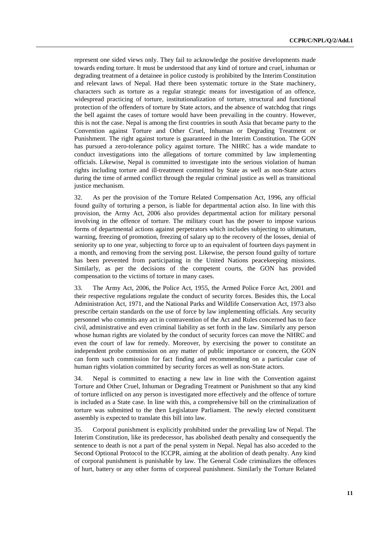represent one sided views only. They fail to acknowledge the positive developments made towards ending torture. It must be understood that any kind of torture and cruel, inhuman or degrading treatment of a detainee in police custody is prohibited by the Interim Constitution and relevant laws of Nepal. Had there been systematic torture in the State machinery, characters such as torture as a regular strategic means for investigation of an offence, widespread practicing of torture, institutionalization of torture, structural and functional protection of the offenders of torture by State actors, and the absence of watchdog that rings the bell against the cases of torture would have been prevailing in the country. However, this is not the case. Nepal is among the first countries in south Asia that became party to the Convention against Torture and Other Cruel, Inhuman or Degrading Treatment or Punishment. The right against torture is guaranteed in the Interim Constitution. The GON has pursued a zero-tolerance policy against torture. The NHRC has a wide mandate to conduct investigations into the allegations of torture committed by law implementing officials. Likewise, Nepal is committed to investigate into the serious violation of human rights including torture and ill-treatment committed by State as well as non-State actors during the time of armed conflict through the regular criminal justice as well as transitional justice mechanism.

32. As per the provision of the Torture Related Compensation Act, 1996, any official found guilty of torturing a person, is liable for departmental action also. In line with this provision, the Army Act, 2006 also provides departmental action for military personal involving in the offence of torture. The military court has the power to impose various forms of departmental actions against perpetrators which includes subjecting to ultimatum, warning, freezing of promotion, freezing of salary up to the recovery of the losses, denial of seniority up to one year, subjecting to force up to an equivalent of fourteen days payment in a month, and removing from the serving post. Likewise, the person found guilty of torture has been prevented from participating in the United Nations peacekeeping missions. Similarly, as per the decisions of the competent courts, the GON has provided compensation to the victims of torture in many cases.

33. The Army Act, 2006, the Police Act, 1955, the Armed Police Force Act, 2001 and their respective regulations regulate the conduct of security forces. Besides this, the Local Administration Act, 1971, and the National Parks and Wildlife Conservation Act, 1973 also prescribe certain standards on the use of force by law implementing officials. Any security personnel who commits any act in contravention of the Act and Rules concerned has to face civil, administrative and even criminal liability as set forth in the law. Similarly any person whose human rights are violated by the conduct of security forces can move the NHRC and even the court of law for remedy. Moreover, by exercising the power to constitute an independent probe commission on any matter of public importance or concern, the GON can form such commission for fact finding and recommending on a particular case of human rights violation committed by security forces as well as non-State actors.

34. Nepal is committed to enacting a new law in line with the Convention against Torture and Other Cruel, Inhuman or Degrading Treatment or Punishment so that any kind of torture inflicted on any person is investigated more effectively and the offence of torture is included as a State case. In line with this, a comprehensive bill on the criminalization of torture was submitted to the then Legislature Parliament. The newly elected constituent assembly is expected to translate this bill into law.

35. Corporal punishment is explicitly prohibited under the prevailing law of Nepal. The Interim Constitution, like its predecessor, has abolished death penalty and consequently the sentence to death is not a part of the penal system in Nepal. Nepal has also acceded to the Second Optional Protocol to the ICCPR, aiming at the abolition of death penalty. Any kind of corporal punishment is punishable by law. The General Code criminalizes the offences of hurt, battery or any other forms of corporeal punishment. Similarly the Torture Related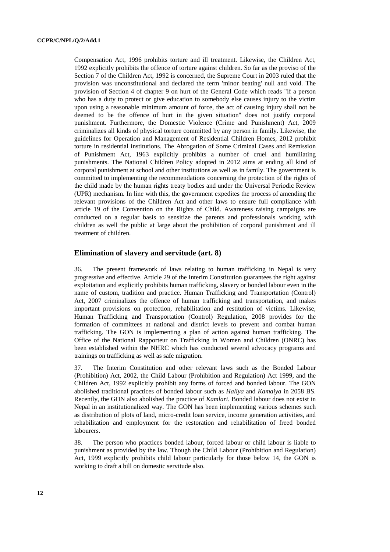Compensation Act, 1996 prohibits torture and ill treatment. Likewise, the Children Act, 1992 explicitly prohibits the offence of torture against children. So far as the proviso of the Section 7 of the Children Act, 1992 is concerned, the Supreme Court in 2003 ruled that the provision was unconstitutional and declared the term 'minor beating' null and void. The provision of Section 4 of chapter 9 on hurt of the General Code which reads "if a person who has a duty to protect or give education to somebody else causes injury to the victim upon using a reasonable minimum amount of force, the act of causing injury shall not be deemed to be the offence of hurt in the given situation" does not justify corporal punishment. Furthermore, the Domestic Violence (Crime and Punishment) Act, 2009 criminalizes all kinds of physical torture committed by any person in family. Likewise, the guidelines for Operation and Management of Residential Children Homes, 2012 prohibit torture in residential institutions. The Abrogation of Some Criminal Cases and Remission of Punishment Act, 1963 explicitly prohibits a number of cruel and humiliating punishments. The National Children Policy adopted in 2012 aims at ending all kind of corporal punishment at school and other institutions as well as in family. The government is committed to implementing the recommendations concerning the protection of the rights of the child made by the human rights treaty bodies and under the Universal Periodic Review (UPR) mechanism. In line with this, the government expedites the process of amending the relevant provisions of the Children Act and other laws to ensure full compliance with article 19 of the Convention on the Rights of Child. Awareness raising campaigns are conducted on a regular basis to sensitize the parents and professionals working with children as well the public at large about the prohibition of corporal punishment and ill treatment of children.

#### **Elimination of slavery and servitude (art. 8)**

36. The present framework of laws relating to human trafficking in Nepal is very progressive and effective. Article 29 of the Interim Constitution guarantees the right against exploitation and explicitly prohibits human trafficking, slavery or bonded labour even in the name of custom, tradition and practice. Human Trafficking and Transportation (Control) Act, 2007 criminalizes the offence of human trafficking and transportation, and makes important provisions on protection, rehabilitation and restitution of victims. Likewise, Human Trafficking and Transportation (Control) Regulation, 2008 provides for the formation of committees at national and district levels to prevent and combat human trafficking. The GON is implementing a plan of action against human trafficking. The Office of the National Rapporteur on Trafficking in Women and Children (ONRC) has been established within the NHRC which has conducted several advocacy programs and trainings on trafficking as well as safe migration.

37. The Interim Constitution and other relevant laws such as the Bonded Labour (Prohibition) Act, 2002, the Child Labour (Prohibition and Regulation) Act 1999, and the Children Act, 1992 explicitly prohibit any forms of forced and bonded labour. The GON abolished traditional practices of bonded labour such as *Haliya* and *Kamaiya* in 2058 BS. Recently, the GON also abolished the practice of *Kamlari*. Bonded labour does not exist in Nepal in an institutionalized way. The GON has been implementing various schemes such as distribution of plots of land, micro-credit loan service, income generation activities, and rehabilitation and employment for the restoration and rehabilitation of freed bonded labourers.

38. The person who practices bonded labour, forced labour or child labour is liable to punishment as provided by the law. Though the Child Labour (Prohibition and Regulation) Act, 1999 explicitly prohibits child labour particularly for those below 14, the GON is working to draft a bill on domestic servitude also.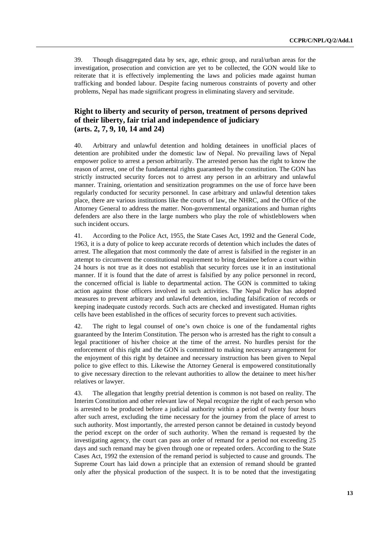39. Though disaggregated data by sex, age, ethnic group, and rural/urban areas for the investigation, prosecution and conviction are yet to be collected, the GON would like to reiterate that it is effectively implementing the laws and policies made against human trafficking and bonded labour. Despite facing numerous constraints of poverty and other problems, Nepal has made significant progress in eliminating slavery and servitude.

## **Right to liberty and security of person, treatment of persons deprived of their liberty, fair trial and independence of judiciary (arts. 2, 7, 9, 10, 14 and 24)**

40. Arbitrary and unlawful detention and holding detainees in unofficial places of detention are prohibited under the domestic law of Nepal. No prevailing laws of Nepal empower police to arrest a person arbitrarily. The arrested person has the right to know the reason of arrest, one of the fundamental rights guaranteed by the constitution. The GON has strictly instructed security forces not to arrest any person in an arbitrary and unlawful manner. Training, orientation and sensitization programmes on the use of force have been regularly conducted for security personnel. In case arbitrary and unlawful detention takes place, there are various institutions like the courts of law, the NHRC, and the Office of the Attorney General to address the matter. Non-governmental organizations and human rights defenders are also there in the large numbers who play the role of whistleblowers when such incident occurs.

41. According to the Police Act, 1955, the State Cases Act, 1992 and the General Code, 1963, it is a duty of police to keep accurate records of detention which includes the dates of arrest. The allegation that most commonly the date of arrest is falsified in the register in an attempt to circumvent the constitutional requirement to bring detainee before a court within 24 hours is not true as it does not establish that security forces use it in an institutional manner. If it is found that the date of arrest is falsified by any police personnel in record, the concerned official is liable to departmental action. The GON is committed to taking action against those officers involved in such activities. The Nepal Police has adopted measures to prevent arbitrary and unlawful detention, including falsification of records or keeping inadequate custody records. Such acts are checked and investigated. Human rights cells have been established in the offices of security forces to prevent such activities.

42. The right to legal counsel of one's own choice is one of the fundamental rights guaranteed by the Interim Constitution. The person who is arrested has the right to consult a legal practitioner of his/her choice at the time of the arrest. No hurdles persist for the enforcement of this right and the GON is committed to making necessary arrangement for the enjoyment of this right by detainee and necessary instruction has been given to Nepal police to give effect to this. Likewise the Attorney General is empowered constitutionally to give necessary direction to the relevant authorities to allow the detainee to meet his/her relatives or lawyer.

43. The allegation that lengthy pretrial detention is common is not based on reality. The Interim Constitution and other relevant law of Nepal recognize the right of each person who is arrested to be produced before a judicial authority within a period of twenty four hours after such arrest, excluding the time necessary for the journey from the place of arrest to such authority. Most importantly, the arrested person cannot be detained in custody beyond the period except on the order of such authority. When the remand is requested by the investigating agency, the court can pass an order of remand for a period not exceeding 25 days and such remand may be given through one or repeated orders. According to the State Cases Act, 1992 the extension of the remand period is subjected to cause and grounds. The Supreme Court has laid down a principle that an extension of remand should be granted only after the physical production of the suspect. It is to be noted that the investigating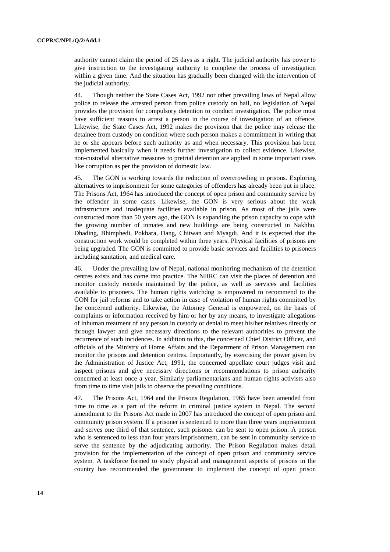authority cannot claim the period of 25 days as a right. The judicial authority has power to give instruction to the investigating authority to complete the process of investigation within a given time. And the situation has gradually been changed with the intervention of the judicial authority.

44. Though neither the State Cases Act, 1992 nor other prevailing laws of Nepal allow police to release the arrested person from police custody on bail, no legislation of Nepal provides the provision for compulsory detention to conduct investigation. The police must have sufficient reasons to arrest a person in the course of investigation of an offence. Likewise, the State Cases Act, 1992 makes the provision that the police may release the detainee from custody on condition where such person makes a commitment in writing that he or she appears before such authority as and when necessary. This provision has been implemented basically when it needs further investigation to collect evidence. Likewise, non-custodial alternative measures to pretrial detention are applied in some important cases like corruption as per the provision of domestic law.

45. The GON is working towards the reduction of overcrowding in prisons. Exploring alternatives to imprisonment for some categories of offenders has already been put in place. The Prisons Act, 1964 has introduced the concept of open prison and community service by the offender in some cases. Likewise, the GON is very serious about the weak infrastructure and inadequate facilities available in prison. As most of the jails were constructed more than 50 years ago, the GON is expanding the prison capacity to cope with the growing number of inmates and new buildings are being constructed in Nakhhu, Dhading, Bhimphedi, Pokhara, Dang, Chitwan and Myagdi. And it is expected that the construction work would be completed within three years. Physical facilities of prisons are being upgraded. The GON is committed to provide basic services and facilities to prisoners including sanitation, and medical care.

46. Under the prevailing law of Nepal, national monitoring mechanism of the detention centres exists and has come into practice. The NHRC can visit the places of detention and monitor custody records maintained by the police, as well as services and facilities available to prisoners. The human rights watchdog is empowered to recommend to the GON for jail reforms and to take action in case of violation of human rights committed by the concerned authority. Likewise, the Attorney General is empowered, on the basis of complaints or information received by him or her by any means, to investigate allegations of inhuman treatment of any person in custody or denial to meet his/her relatives directly or through lawyer and give necessary directions to the relevant authorities to prevent the recurrence of such incidences. In addition to this, the concerned Chief District Officer, and officials of the Ministry of Home Affairs and the Department of Prison Management can monitor the prisons and detention centres. Importantly, by exercising the power given by the Administration of Justice Act, 1991, the concerned appellate court judges visit and inspect prisons and give necessary directions or recommendations to prison authority concerned at least once a year. Similarly parliamentarians and human rights activists also from time to time visit jails to observe the prevailing conditions.

47. The Prisons Act, 1964 and the Prisons Regulation, 1965 have been amended from time to time as a part of the reform in criminal justice system in Nepal. The second amendment to the Prisons Act made in 2007 has introduced the concept of open prison and community prison system. If a prisoner is sentenced to more than three years imprisonment and serves one third of that sentence, such prisoner can be sent to open prison. A person who is sentenced to less than four years imprisonment, can be sent in community service to serve the sentence by the adjudicating authority. The Prison Regulation makes detail provision for the implementation of the concept of open prison and community service system. A taskforce formed to study physical and management aspects of prisons in the country has recommended the government to implement the concept of open prison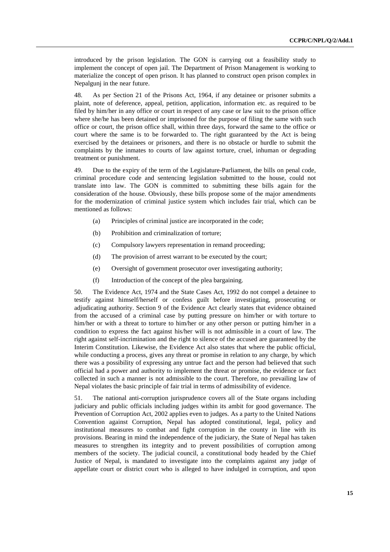introduced by the prison legislation. The GON is carrying out a feasibility study to implement the concept of open jail. The Department of Prison Management is working to materialize the concept of open prison. It has planned to construct open prison complex in Nepalgunj in the near future.

48. As per Section 21 of the Prisons Act, 1964, if any detainee or prisoner submits a plaint, note of deference, appeal, petition, application, information etc. as required to be filed by him/her in any office or court in respect of any case or law suit to the prison office where she/he has been detained or imprisoned for the purpose of filing the same with such office or court, the prison office shall, within three days, forward the same to the office or court where the same is to be forwarded to. The right guaranteed by the Act is being exercised by the detainees or prisoners, and there is no obstacle or hurdle to submit the complaints by the inmates to courts of law against torture, cruel, inhuman or degrading treatment or punishment.

49. Due to the expiry of the term of the Legislature-Parliament, the bills on penal code, criminal procedure code and sentencing legislation submitted to the house, could not translate into law. The GON is committed to submitting these bills again for the consideration of the house. Obviously, these bills propose some of the major amendments for the modernization of criminal justice system which includes fair trial, which can be mentioned as follows:

- (a) Principles of criminal justice are incorporated in the code;
- (b) Prohibition and criminalization of torture;
- (c) Compulsory lawyers representation in remand proceeding;
- (d) The provision of arrest warrant to be executed by the court;
- (e) Oversight of government prosecutor over investigating authority;
- (f) Introduction of the concept of the plea bargaining.

50. The Evidence Act, 1974 and the State Cases Act, 1992 do not compel a detainee to testify against himself/herself or confess guilt before investigating, prosecuting or adjudicating authority. Section 9 of the Evidence Act clearly states that evidence obtained from the accused of a criminal case by putting pressure on him/her or with torture to him/her or with a threat to torture to him/her or any other person or putting him/her in a condition to express the fact against his/her will is not admissible in a court of law. The right against self-incrimination and the right to silence of the accused are guaranteed by the Interim Constitution. Likewise, the Evidence Act also states that where the public official, while conducting a process, gives any threat or promise in relation to any charge, by which there was a possibility of expressing any untrue fact and the person had believed that such official had a power and authority to implement the threat or promise, the evidence or fact collected in such a manner is not admissible to the court. Therefore, no prevailing law of Nepal violates the basic principle of fair trial in terms of admissibility of evidence.

51. The national anti-corruption jurisprudence covers all of the State organs including judiciary and public officials including judges within its ambit for good governance. The Prevention of Corruption Act, 2002 applies even to judges. As a party to the United Nations Convention against Corruption, Nepal has adopted constitutional, legal, policy and institutional measures to combat and fight corruption in the county in line with its provisions. Bearing in mind the independence of the judiciary, the State of Nepal has taken measures to strengthen its integrity and to prevent possibilities of corruption among members of the society. The judicial council, a constitutional body headed by the Chief Justice of Nepal, is mandated to investigate into the complaints against any judge of appellate court or district court who is alleged to have indulged in corruption, and upon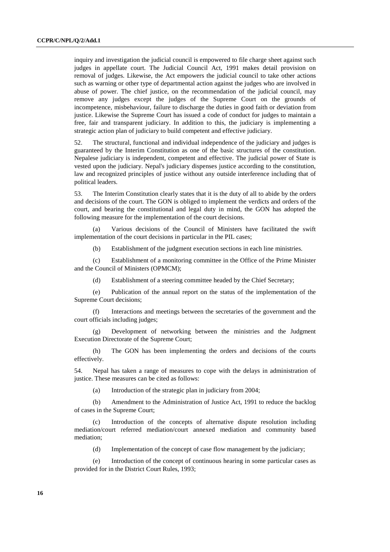inquiry and investigation the judicial council is empowered to file charge sheet against such judges in appellate court. The Judicial Council Act, 1991 makes detail provision on removal of judges. Likewise, the Act empowers the judicial council to take other actions such as warning or other type of departmental action against the judges who are involved in abuse of power. The chief justice, on the recommendation of the judicial council, may remove any judges except the judges of the Supreme Court on the grounds of incompetence, misbehaviour, failure to discharge the duties in good faith or deviation from justice. Likewise the Supreme Court has issued a code of conduct for judges to maintain a free, fair and transparent judiciary. In addition to this, the judiciary is implementing a strategic action plan of judiciary to build competent and effective judiciary.

52. The structural, functional and individual independence of the judiciary and judges is guaranteed by the Interim Constitution as one of the basic structures of the constitution. Nepalese judiciary is independent, competent and effective. The judicial power of State is vested upon the judiciary. Nepal's judiciary dispenses justice according to the constitution, law and recognized principles of justice without any outside interference including that of political leaders.

53. The Interim Constitution clearly states that it is the duty of all to abide by the orders and decisions of the court. The GON is obliged to implement the verdicts and orders of the court, and bearing the constitutional and legal duty in mind, the GON has adopted the following measure for the implementation of the court decisions.

 (a) Various decisions of the Council of Ministers have facilitated the swift implementation of the court decisions in particular in the PIL cases;

(b) Establishment of the judgment execution sections in each line ministries.

 (c) Establishment of a monitoring committee in the Office of the Prime Minister and the Council of Ministers (OPMCM);

(d) Establishment of a steering committee headed by the Chief Secretary;

 (e) Publication of the annual report on the status of the implementation of the Supreme Court decisions;

 (f) Interactions and meetings between the secretaries of the government and the court officials including judges;

 (g) Development of networking between the ministries and the Judgment Execution Directorate of the Supreme Court;

 (h) The GON has been implementing the orders and decisions of the courts effectively.

54. Nepal has taken a range of measures to cope with the delays in administration of justice. These measures can be cited as follows:

(a) Introduction of the strategic plan in judiciary from 2004;

 (b) Amendment to the Administration of Justice Act, 1991 to reduce the backlog of cases in the Supreme Court;

 (c) Introduction of the concepts of alternative dispute resolution including mediation/court referred mediation/court annexed mediation and community based mediation;

(d) Implementation of the concept of case flow management by the judiciary;

 (e) Introduction of the concept of continuous hearing in some particular cases as provided for in the District Court Rules, 1993;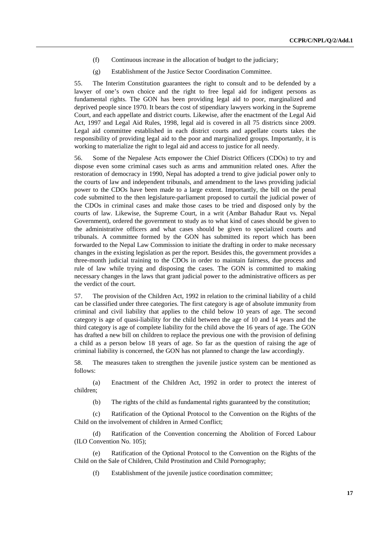- (f) Continuous increase in the allocation of budget to the judiciary;
- (g) Establishment of the Justice Sector Coordination Committee.

55. The Interim Constitution guarantees the right to consult and to be defended by a lawyer of one's own choice and the right to free legal aid for indigent persons as fundamental rights. The GON has been providing legal aid to poor, marginalized and deprived people since 1970. It bears the cost of stipendiary lawyers working in the Supreme Court, and each appellate and district courts. Likewise, after the enactment of the Legal Aid Act, 1997 and Legal Aid Rules, 1998, legal aid is covered in all 75 districts since 2009. Legal aid committee established in each district courts and appellate courts takes the responsibility of providing legal aid to the poor and marginalized groups. Importantly, it is working to materialize the right to legal aid and access to justice for all needy.

56. Some of the Nepalese Acts empower the Chief District Officers (CDOs) to try and dispose even some criminal cases such as arms and ammunition related ones. After the restoration of democracy in 1990, Nepal has adopted a trend to give judicial power only to the courts of law and independent tribunals, and amendment to the laws providing judicial power to the CDOs have been made to a large extent. Importantly, the bill on the penal code submitted to the then legislature-parliament proposed to curtail the judicial power of the CDOs in criminal cases and make those cases to be tried and disposed only by the courts of law. Likewise, the Supreme Court, in a writ (Ambar Bahadur Raut vs. Nepal Government), ordered the government to study as to what kind of cases should be given to the administrative officers and what cases should be given to specialized courts and tribunals. A committee formed by the GON has submitted its report which has been forwarded to the Nepal Law Commission to initiate the drafting in order to make necessary changes in the existing legislation as per the report. Besides this, the government provides a three-month judicial training to the CDOs in order to maintain fairness, due process and rule of law while trying and disposing the cases. The GON is committed to making necessary changes in the laws that grant judicial power to the administrative officers as per the verdict of the court.

57. The provision of the Children Act, 1992 in relation to the criminal liability of a child can be classified under three categories. The first category is age of absolute immunity from criminal and civil liability that applies to the child below 10 years of age. The second category is age of quasi-liability for the child between the age of 10 and 14 years and the third category is age of complete liability for the child above the 16 years of age. The GON has drafted a new bill on children to replace the previous one with the provision of defining a child as a person below 18 years of age. So far as the question of raising the age of criminal liability is concerned, the GON has not planned to change the law accordingly.

58. The measures taken to strengthen the juvenile justice system can be mentioned as follows:

 (a) Enactment of the Children Act, 1992 in order to protect the interest of children;

(b) The rights of the child as fundamental rights guaranteed by the constitution;

 (c) Ratification of the Optional Protocol to the Convention on the Rights of the Child on the involvement of children in Armed Conflict;

 (d) Ratification of the Convention concerning the Abolition of Forced Labour (ILO Convention No. 105);

 (e) Ratification of the Optional Protocol to the Convention on the Rights of the Child on the Sale of Children, Child Prostitution and Child Pornography;

(f) Establishment of the juvenile justice coordination committee;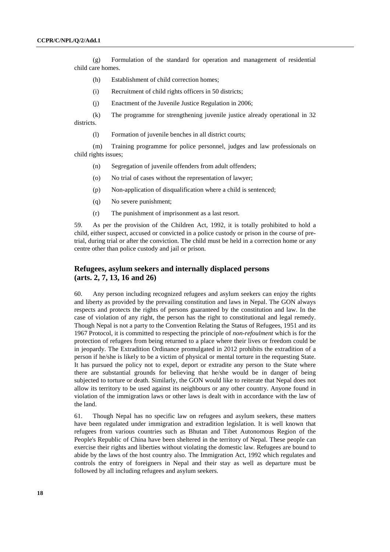(g) Formulation of the standard for operation and management of residential child care homes.

- (h) Establishment of child correction homes;
- (i) Recruitment of child rights officers in 50 districts;
- (j) Enactment of the Juvenile Justice Regulation in 2006;

 (k) The programme for strengthening juvenile justice already operational in 32 districts.

(l) Formation of juvenile benches in all district courts;

 (m) Training programme for police personnel, judges and law professionals on child rights issues;

- (n) Segregation of juvenile offenders from adult offenders;
- (o) No trial of cases without the representation of lawyer;
- (p) Non-application of disqualification where a child is sentenced;
- (q) No severe punishment;
- (r) The punishment of imprisonment as a last resort.

59. As per the provision of the Children Act, 1992, it is totally prohibited to hold a child, either suspect, accused or convicted in a police custody or prison in the course of pretrial, during trial or after the conviction. The child must be held in a correction home or any centre other than police custody and jail or prison.

## **Refugees, asylum seekers and internally displaced persons (arts. 2, 7, 13, 16 and 26)**

60. Any person including recognized refugees and asylum seekers can enjoy the rights and liberty as provided by the prevailing constitution and laws in Nepal. The GON always respects and protects the rights of persons guaranteed by the constitution and law. In the case of violation of any right, the person has the right to constitutional and legal remedy. Though Nepal is not a party to the Convention Relating the Status of Refugees, 1951 and its 1967 Protocol, it is committed to respecting the principle of *non-refoulment* which is for the protection of refugees from being returned to a place where their lives or freedom could be in jeopardy. The Extradition Ordinance promulgated in 2012 prohibits the extradition of a person if he/she is likely to be a victim of physical or mental torture in the requesting State. It has pursued the policy not to expel, deport or extradite any person to the State where there are substantial grounds for believing that he/she would be in danger of being subjected to torture or death. Similarly, the GON would like to reiterate that Nepal does not allow its territory to be used against its neighbours or any other country. Anyone found in violation of the immigration laws or other laws is dealt with in accordance with the law of the land.

61. Though Nepal has no specific law on refugees and asylum seekers, these matters have been regulated under immigration and extradition legislation. It is well known that refugees from various countries such as Bhutan and Tibet Autonomous Region of the People's Republic of China have been sheltered in the territory of Nepal. These people can exercise their rights and liberties without violating the domestic law. Refugees are bound to abide by the laws of the host country also. The Immigration Act, 1992 which regulates and controls the entry of foreigners in Nepal and their stay as well as departure must be followed by all including refugees and asylum seekers.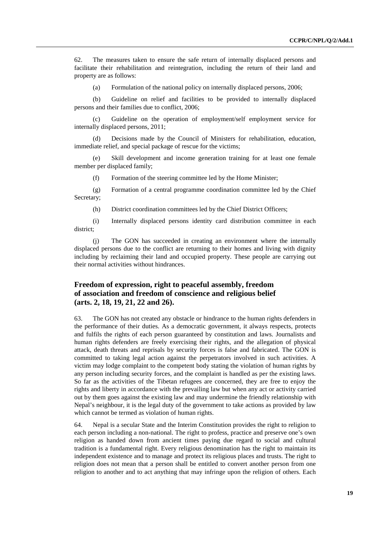62. The measures taken to ensure the safe return of internally displaced persons and facilitate their rehabilitation and reintegration, including the return of their land and property are as follows:

(a) Formulation of the national policy on internally displaced persons, 2006;

(b) Guideline on relief and facilities to be provided to internally displaced persons and their families due to conflict, 2006;

(c) Guideline on the operation of employment/self employment service for internally displaced persons, 2011;

(d) Decisions made by the Council of Ministers for rehabilitation, education, immediate relief, and special package of rescue for the victims;

(e) Skill development and income generation training for at least one female member per displaced family;

(f) Formation of the steering committee led by the Home Minister;

(g) Formation of a central programme coordination committee led by the Chief Secretary;

(h) District coordination committees led by the Chief District Officers;

(i) Internally displaced persons identity card distribution committee in each district;

(j) The GON has succeeded in creating an environment where the internally displaced persons due to the conflict are returning to their homes and living with dignity including by reclaiming their land and occupied property. These people are carrying out their normal activities without hindrances.

## **Freedom of expression, right to peaceful assembly, freedom of association and freedom of conscience and religious belief (arts. 2, 18, 19, 21, 22 and 26).**

63. The GON has not created any obstacle or hindrance to the human rights defenders in the performance of their duties. As a democratic government, it always respects, protects and fulfils the rights of each person guaranteed by constitution and laws. Journalists and human rights defenders are freely exercising their rights, and the allegation of physical attack, death threats and reprisals by security forces is false and fabricated. The GON is committed to taking legal action against the perpetrators involved in such activities. A victim may lodge complaint to the competent body stating the violation of human rights by any person including security forces, and the complaint is handled as per the existing laws. So far as the activities of the Tibetan refugees are concerned, they are free to enjoy the rights and liberty in accordance with the prevailing law but when any act or activity carried out by them goes against the existing law and may undermine the friendly relationship with Nepal's neighbour, it is the legal duty of the government to take actions as provided by law which cannot be termed as violation of human rights.

64. Nepal is a secular State and the Interim Constitution provides the right to religion to each person including a non-national. The right to profess, practice and preserve one's own religion as handed down from ancient times paying due regard to social and cultural tradition is a fundamental right. Every religious denomination has the right to maintain its independent existence and to manage and protect its religious places and trusts. The right to religion does not mean that a person shall be entitled to convert another person from one religion to another and to act anything that may infringe upon the religion of others. Each